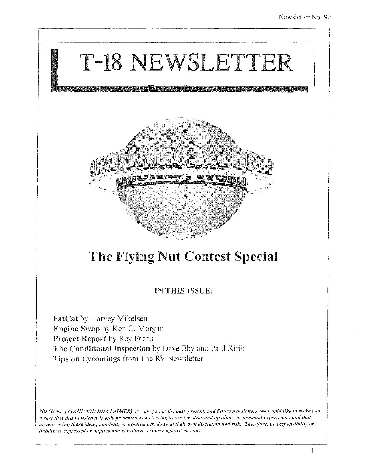

## The Flying Nut Contest Special

### IN THIS ISSUE:

FatCat by Harvey Mikelsen Engine Swap by Ken C. Morgan Project Report by Roy Farris The Conditional Inspection by Dave Eby and Paul Kirik Tips on Lycomings from The RV Newsletter

*NOTICE: (STANDARD DISCLAIMER) As always, in the past, present, and future newsletters, we would like to make you* aware that this newsletter is only presented as a clearing house for ideas and opinions, or personal experiences and that anyone using these ideas, opinions, or experiences, do so at their own discretion and risk. Therefore, no responsibility or liability is expressed or implied and is without recourse against anyone.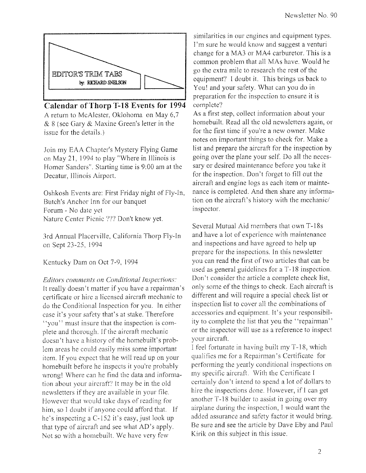

#### **Calendar** of Thorp **T-18 Events for 1994**

A return to McAlester, Oklohoma on May 6,7 & 8 (see Gary & Maxine Green's letter in the issue for the details.)

Join my EAA Chapter's Mystery Flying Game on May 21, 1994 to play "Where in Illinois is Homer Sanders". Starting time is 9:00 am at the Decatur, JIIinois Airport.

Oshkosh Events are: First Friday night of Fly-In, Butch's Anchor Inn for our banquet Forum - No date yet Nature Center Picnic ??? Don't know yet.

3rd Annual Placerville, California Thorp Fly-In on Sept 23-25, 1994

Kentucky Dam on Oct 7-9, 1994

*Editors comments on Conditional Inspections:* It really doesn't matter if you have a repairman's certificate or hire a licensed aircraft mechanic to do the Conditional Inspection for you. In either case it's your safety that's at stake. Therefore "you" must insure that the inspection is complete and thorough. If the aircraft mechanic doesn't have a history of the homebuilt's problem areas he could easily miss some important item. If you expect that he will read up on your homebuilt before he inspects it you're probably wrongl Where can he find the data and information about your aircraft') It may be in the old newsletters if they are available in your file. However that would take days of reading for him, so I doubt if anyone could afford that. If he's inspecting a C-152 it's easy, just look up that type of aircraft and see what AD's apply. Not so with a homebuilt. We have very few

similarities in our engines and equipment types. I'm sure he would know and suggest a venturi change for a MA3 or MA4 carburetor. This is a common problem that all MAs have. Would he go the extra mile to research the rest of the equipment? I doubt it. This brings us back to You! and your safety. What can you do in preparation for the inspection to ensure it is complete?

As a first step, collect information about your homebuilt. Read all the old newsletters again, or for the first time if you're a new owner. Make notes on important things to check for. Make a list and prepare the aircraft for the inspection by going over the plane your self Do all the necessary or desired maintenance before you take it for the inspection. Don't forget to fill out the aircraft and engine logs as each item or maintenance is completed. And then share any information on the aircraft's history with the mechanic/ inspector.

Several Mutual Aid members that own T-18s and have a lot of experience with maintenance and inspections and have agreed to help up prepare for *the* inspections. In this newsletter you can read the first of two articles that can be used as general guidelines for a T-18 inspection. Don't consider the article a complete check list, only some of the things to check. Each aircraft is different and will require a special check list or inspection list to cover all the combinations of accessories and equipment. It's your responsibility to complete the list that you the "repairman" or the inspector will use as a reference to inspect your aircraft.

I feel fortunate in having built my T-18, which qualifies me for a Repairman's Certificate for performing the yearly conditional inspections on my specific aircraft. With the Certificate I certainly don't intend to spend a lot of dollars to hire the inspections done. However, if I can get another T-18 builder to assist in going over my airplane during the inspection, I would want the added assurance and safety factor it would bring. Be sure and see the article by Dave Eby and Paul Kirik on this subject in this issue.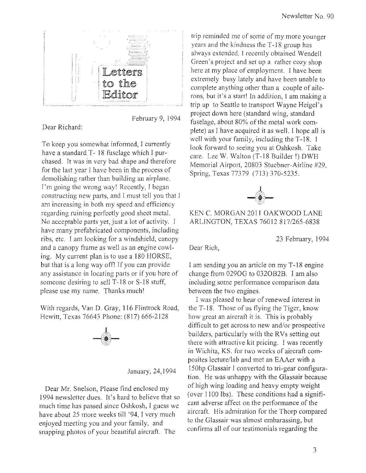

February 9, 1994

Dear Richard:

To keep you somewhat informed, I currently have a standard T-18 fuselage which I purchased. It was in very bad shape and therefore for the last year I have been in the process of demolishing rather than building an airplane. I'm going the wrong way! Recently, I began constructing new parts, and I must tell you that I am increasing in both my speed and efficiency regarding ruining perfectly good sheet metal. No acceptable parts yet, just a lot of activity. I have many prefabricated components, including ribs, etc. I am looking for a windshield, canopy and a canopy frame as well as an engine cowling. My current plan is to use a 180 HORSE, but that is a long way off! If you can provide any assistance in locating parts or if you here of someone desiring to sell T-18 or S-18 stuff, please use my name. Thanks much'

With regards, Van D. Gray, 116 Flintrock Road, Hewitt, Texas 76643 Phone: (817) 666-2128



January, 24,1994

Dear Mr. Snelson, Please find enclosed my 1994 newsletter dues. It's hard to believe that so much time has passed since Oshkosh, I guess we have about 25 more weeks till '94, I very much enjoyed meeting you and your family, and snapping photos of your beautiful aircraft. The

trip reminded me of some of my more younger years and the kindness the *T-18* group has always extended. I recently obtained Wendell Green's project and set up a rather cozy shop here at my place of employment. I have been extremely busy lately and have been unable to complete anything other than a couple of ailerons, but it's a start! In addition, I am making a trip up to Seattle to transport Wayne Heigel's project down here (standard wing, standard fuselage, about 80% of the metal work complete) as I have acquired it as well. I hope all is well with your family, including the T-18. I look forward to seeing you at Oshkosh. Take care. Lee W. Walton (T-18 Builder ') DWH Memorial Airport, 20803 Stuebner-Airline #29, Spring, Texas 77379 (713) 370-5235.



KEN C. MORGAN 2011 OAKWOOD LANE ARLINGTON, TEXAS 76012 817/265-6838

23 February, 1994

Dear Rich,

I am sending you an article on my *T-18* engine change from 0290G to 0320B2B. I am also including some performance comparison data between the two engines.

I was pleased to hear of renewed interest in the  $T-18$ . Those of us flying the Tiger, know how great an aircraft it is. This is probably difficult to get across to new and/or prospective builders, particularly with the RVs setting out there with attractive kit pricing. I was recently in Wichita, KS. for two weeks of aircraft composites lecture/lab and met an EAAer with a 150hp Glassair I converted to tri-gear configuration. He was unhappy with the Glassair because of high wing loading and heavy empty weight (over 1100 lbs). These conditions had a significant adverse affect on the performance of the aircraft. His admiration for the Thorp compared to the Glassair was almost embarassing, but confirms all of our testimonials regarding the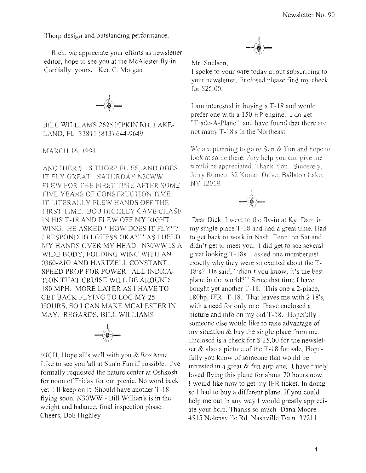Thorp design and outstanding performance.

Rich, we appreciate your efforts as newsletter editor, hope to see you at the McAlester fly-in. Cordially yours, Ken C. Morgan



BILL WILLIAMS 2625 PIPKIN RD. LAKE-LAND, FL 33811 (813) 644-9649

MARCH 16, 1994

ANOTHER S-18 THORP FLIES, AND DOES IT FLY GREAT! SATURDAY N30WW FLEW FOR THE FIRST TIME AFTER SOME FIVE YEARS OF CONSTRUCTION TIME. IT LITERALLY FLEW HANDS OFF THE FIRST TIME. BOB HIGHLEY GAVE CHASE IN HIS T-18 AND FLEW OFF MY RIGHT WING. HE ASKED "HOW DOES IT FLY"? I RESPONDED I GUESS OKAY" AS I HELD MY HANDS OVER MY HEAD. N30WW IS A WIDE BODY, FOLDING WING WITH AN 0360-AIG AND HARTZELL CONSTANT SPEED PROP FOR POWER. ALL INDICA-TION THAT CRUISE WILL BE AROUND 180 MPH. MORE LATER AS I HAVE TO GET BACK FLYING TO LOG MY 25 HOURS, SO I CAN MAKE MCALESTER IN MAY. REGARDS, BILL WILLIAMS



RICH, Hope all's well with you & RoxAnne. Like to see you 'all at Sun'n Fun if possible. I've formally requested the nature center at Oshkosh for noon of Friday for our picnic. No word back yet. I'll keep on it. Should have another T-18 flying soon. N30WW - Bill Willian's is in the weight and balance, final inspection phase. Cheers, Bob Highley



Mr. Snelson,

I spoke to your wife today about subscribing to your newsletter. Enclosed please find my check for \$25.00.

I am interested in buying a T-18 and would prefer one with a 150 HP engine. I do get "Trade-A-Plane", and have found that there are not many T-18's in the Northeast.

We are planning to go to Sun  $&$  Fun and hope to look at some there. Any help you can give me would be appreciated. Thank You. Sincerely, Jerry Romeo 32 Komar Drive, Ballston Lake, NY 12019.



Dear Dick, I went to the fly-in at Ky. Dam in my single place T -18 and had a great time. Had to get back to work in Nash. Tenn. on Sat and didn't get to meet you. I did get to see several great looking T -18s. I asked one memberjust exactly why they were so excited about the T-18's? He said, "didn't you know, it's the best plane in the world?" Since that time I have bought yet another T-18. This one a 2-place, 180hp,IFR--T-18. That leaves me with 2 18's, with a need for only one. Ihave enclosed a picture and info on my old T-18. Hopefully someone else would like to take advantage of my situation & buy the single place from me. Enclosed is a check for \$ 25.00 for the newsletter & also a picture of the T -18 for sale. Hopefully you know of someone that would be intrested in a great  $&$  fun airplane. I have truely loved flying this plane for about 70 hours now. I would like now to get my IFR ticket. In doing so I had to buy a different plane. If you could help me out in any way I would greatly appreciate your help. Thanks so much Dana Moore 4515 Nolensville Rd. Nashville Tenn. 37211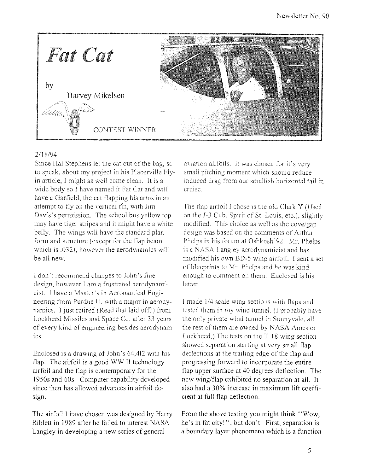

#### 2/18/94

Since Hal Stephens let the cat out of the bag. so to speak, about my project in his Placerville Flyin article, I might as well come clean. It is a wide body so I have named it Fat Cat and will have a Garfield, the cat flapping his arms in an attempt to fly on the vertical fin, with Jim Davis's permission. The school bus yellow top may have tiger stripes and it might have a white belly. The wings will have the standard planform and structure (except for the flap beam which is .032), however the aerodynamics will be all new.

I don't recommend changes to John's fine design, however I am a frustrated aerodynamicist. I have a Master's in Aeronautical Engineering from Purdue U. with a major in aerodynamics. I just retired (Read that laid off') from Lockheed Missiles and Space Co. after 33 years of every kind of engineering besides aerodynamics.

Enclosed is a drawing of John's 64,412 with his flap. The airfoil is a good WW II technology airfoil and the flap is contemporary for the 1950s and 60s. Computer capability developed since then has allowed advances in airfoil design.

The airfoil I have chosen was designed by Harry Riblett in 1989 after he failed to interest NASA Langley in developing a new series of general

aviation airfoils, It was chosen for it's small pitching moment which should reduce induced drag from our smallish horizontal tail in cruise.

The flap airfoil I chose is the old Clark Y (Used on the J-3 Cub, Spirit of SL Louis, etc.), slightly modified. This choice as well as the cove/gap design was based on the comments of Arthur Phelps in his forum at Oshkosh'92. Mr. Phelps is a NASA Langley aerodynamicist and has modified his own BD-5 wing airfoil. I sent a set of blueprints to Mr. Phelps and he was kind enough to comment on them. Enclosed is his letter.

I made  $1/4$  scale wing sections with flaps and tested them in my wind tunneL (I probably have the only private wind tunnel in Sunnyvale, all the rest of them are owned by NASA Ames or Lockheed.) The tests on the T-18 wing section showed separation starting at very small flap deflections at the trailing edge of the flap and progressing forward to incorporate the entire flap upper surface at 40 degrees deflection. The new wing/flap exhibited no separation at all. It also had a 30% increase in maximum lift coefficient at full flap deflection.

From the above testing you might think "Wow, he's in fat cityl", but don't. First, separation is a boundary layer phenomena which is a function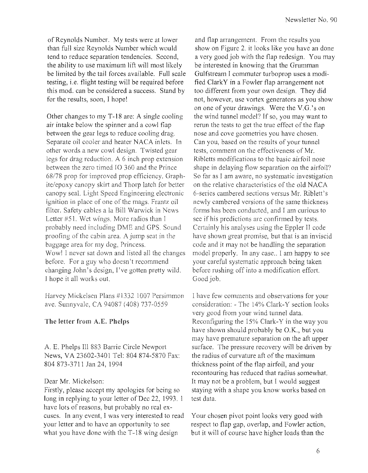of Reynolds Number. My tests were at lower than full size Reynolds Number which would tend to reduce separation tendencies. Second, the ability to use maximum lift will most likely be limited by the tail forces available. Full scale testing, i.e. flight testing will be required before this mod. can be considered a success. Stand by for the results, soon, I hope!

Other changes to my T -18 are: A single cooling air intake below the spinner and a cowl fiap between the gear legs to reduce cooling drag. Separate oil cooler and heater NACA inlets. In other words a new cowl design. Twisted gear legs for drag reduction. A 6 inch prop extension between the zero timed IO 360 and the Prince *68178* prop for improved prop efficiency. Graphite/epoxy canopy skirt and Thorp latch for better canopy seaL Light Speed Engineering electronic ignition in place of one of the mags. Frantz oil filter. Safety cables a la Bill Warwick in News Letter #51. Wet wings. More radios than I probably need including DME and GPS. Sound proofing of the cabin area. A jump seat in the baggage area for my dog, Princess. Wow! I never sat down and listed all the changes hefore. For a guy who doesn't recommend changing John's design, ['ve gotten pretty wild. 1 hope it all works out.

Harvey Mickelsen Plans #1332 1007 Persimmon ave. Sunnyvale, CA 94087 (408) 737-0559

#### The letter from A.E. Phelps

A E. Phelps III 883 Barrie Circle Newport News, VA 23602-3401 Tel: 804 874-5870 Fax: 804873-3711 Jan 24, 1994

#### Dear Mr. Mickelson:

Firstly, please accept my apologies for being so long in replying to your letter of Dec 22, 1993. 1 have lots of reasons, but probably no real excuses. In any event, I was very interested to read your letter and to have an opportunity to see what you have done with the T-18 wing design

and flap arrangement. From the results you show on Figure 2. it looks like you have an done a very good job with the flap redesign. You may be interested in knowing that the Grumman Gulfstream I commuter turboprop uses a modified ClarkY in a Fowler flap arrangement not too different from your own design. They did not, however, use vortex generators as you show on one of your drawings. Were the V.G.'s on the wind tunnel model? If so, you may want to rerun the tests to get the true effect of the flap nose and cove geometries you have chosen. Can you, based on the results of your tunnel tests, comment on the effectiveness of Mr. Ribletts modifications to the basic airfoil nose shape in delaying flow separation on the airfoil? So far as I am aware, no systematic investigation on the relative characteristics of the old NACA 6-series cambered sections versus Mr. Riblett's newly cambered versions of the same thickness forms has been conducted, and I am curious to see if his predictions are confirmed by tests. Certainly his analyses using the Eppler II code have shown great promise, but that is an inviscid code and it may not be handling the separation model properly. In any case.. I am happy to see your careful systematic approach heing taken before rushing off into a modification effort. Good job.

I have few comments and observations for your consideration: - The 14% Clark-Y section looks very good from your wind tunnel data. Reconfiguring the 15% Clark-Y in the way you have shown should probably be O.K., but you may have premature separation on the aft upper surface. The pressure recovery will be driven by the radius of curvature aft of the maximum thickness point of the flap airfoil, and your recontouring has reduced that radius somewhat. It may not be a problem, but I would suggest staying with a shape you know works based on test data.

Your chosen pivot point looks very good with respect to flap gap, overlap, and Fowler action, but it will of course have higher loads than the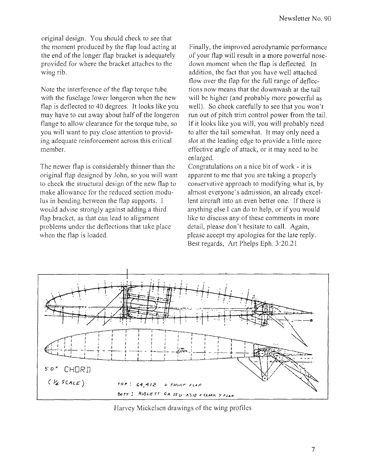original design. You should check to see that the moment produced by the flap load acting at the end of the longer flap bracket is adequately provided for where the bracket attaches to the wing rib.

Note the interference of the flap torque tube with the fuselage lower longeron when the new flap is deflected to 40 degrees. It looks like you may have to cut away about half of the longeron flange to allow clearance for the torque tube, so you will want to pay close attention to providing adequate reinforcement across this critical member.

The newer flap is considerably thinner than the original flap designed by John, so you will want to check the structural design of the new flap to make allowance for the reduced section modulus in bending between the flap supports. I would advise strongly against adding a third flap bracket, as that can lead to alignment problems under the deflections that take place when the flap is loaded.

Finally, the improved aerodynamic performance of your flap will result in a more powerful nosedown moment when the flap is deflected. In addition, the fact that you have well attached flow over the flap for the full range of deflections now means that the down wash at the tail will be higher (and probably more powerful as well). So check carefully to see that you won't run out of pitch trim control power from the tail. If it looks like you will, you will probably need to alter the tail somewhat. It may only need a slot at the leading edge to provide a little more effective angle of attack, or it may need to be enlarged.

Congratulations on a nice bit of work - it is apparent to me that you are taking a properly conservative approach to modifying what is, by almost everyone's admission, an already excellent aircraft into an even better one. If there is anything else I can do to help, or if you would like to discuss any of these comments in more detail, please don't hesitate to call. Again, please accept my apologies for the late reply. Best regards, Art Phelps Eph. 3:20.21



Harvey Mickelsen drawings of the wing profiles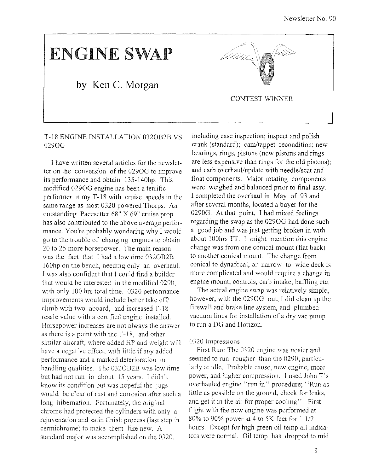# **ENGINE** SWAP

### **by Ken C. Morgan**



#### T-18 ENGINE INSTALLATION 0320B2B VS 0290G

I have written several articles for the newsletter on the conversion of the 0290G to improve its performance and obtain 135-140hp. This modified 0290G engine has been a terrific performer in my T-18 with cruise speeds in the same range as most 0320 powered Thorps. An outstanding Pacesetter 68" X 69" cruise prop has also contributed to the above average performance. You're probably wondering why I would go to the trouble of changing engines to obtain 20 to 25 more horsepower. The main reason was the fact that I had a low time 0320B2B I60hp on the bench, needing only an overhaul. I was also confident that I could find a builder that would be interested in the modified 0290, with only 100 hrs total time. 0320 performance improvements would include better take off/ climb with two aboard, and increased  $T-18$ resale value with a certified engine installed. Horsepower increases are not always the answer as there is a point with the T -18, and other similar aircraft, where added HP and weight will have a negative effect, with little if any added performance and a marked deterioration in handling qualities. The 0320828 was low time but had not run in about 15 years. I didn't know its condition but was hopeful the jugs would be clear of rust and corrosion after such a long hibernation. Fortunately, the original chrome had protected the cylinders with only a rejuvenation and satin finish process (last step in cermichrome) to make them like new. A standard major was accomplished on the 0320,

including case inspection; inspect and polish crank (standard); cam/tappet recondition; new bearings, rings, pistons (new pistons and rings are less expensive than rings for the old pistons); and carb overhaul/update with needle/seat and float components. Major rotating components were weighed and balanced prior to final assy. I completed the overhaul in May of 93 and after several months, located a buyer for the 0290G. At that point, I had mixed feelings regarding the swap as the 0290G had done such a good job and was just getting broken in with about 100hrs TT. I might mention this engine change was from one conical mount (flat back) to another conical mount. The change from conical to dynafocal, or narrow to wide deck is more complicated and would require a change in engine mount, controls, carb intake, baffling etc.

The actual engine swap was relatively simple; however, with the 0290G out, I did clean up the firewall and brake line system, and plumbed vacuum lines for installation of a dry vac pump to mn a DG and Horizon.

#### 0320 Impressions

First Run: The 0320 engine was nosier and seemed to run rougher than the 0290, particularly at idle. Probable cause, new engine, more power, and higher compression. I used John T's overhauled engine "run in" procedure; "Run as little as possible on the ground, check for leaks, and get it in the air for proper cooling". First flight with the new engine was performed at 80% to 90% power at 4 to 5K feet for I 1/2 hours. Except for high green oil temp all indicators were normal. Oil temp has dropped to mid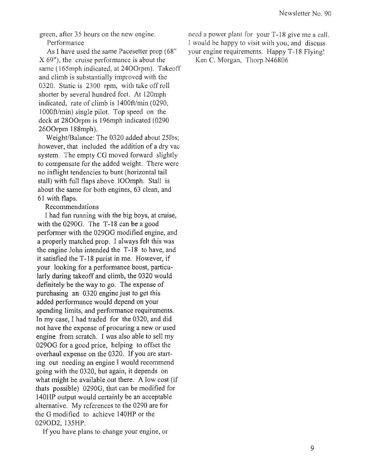green, after 35 hours on the new engine. Performance

As I have used the same Pacesetter prop (68" X 69"), the cruise performance is about the same (165mph indicated, at 2400rpm). Takeoff and climb is substantially improved with the 0320. Static is 2300 rpm, with take off roll shorter by several hundred feet. At 120mph indicated, rate of climb is 1400ft/min (0290, JOOOft/min) single pilot. Top speed on the deck at 2800rpm is 196mph indicated (0290) 2600rpm 188mph).

Weight/Balance: The 0320 added about 251bs; however, that included the addition of a dry vac system. The empty CG moved forward slightly to compensate for the added weight. There were no inflight tendencies to bunt (horizontal tail stall) with full flaps above IOOmph. Stall is about the same for both engines, 63 clean, and 61 with flaps.

#### Recommendations

I had fun running with the big boys, at cruise, with the 0290G. The T-18 can be a good perfonner with the 0290G modified engine, and a properly matched prop. I always felt this was the engine John intended the T-18 to have, and it satisfied the T-18 purist in me. However, if your looking for a performance boost, particularly during takeoff and climb, the 0320 would definitely be the way to go. The expense of purchasing an 0320 engine just to get this added performance would depend on your spending limits, and performance requirements. In my case, I had traded for the 0320, and did not have the expense of procuring a new or used engine from scratch. I was also able to sell my 0290G for a good price, helping to offset the overhaul expense on the 0320. If you are starting out needing an engine I would recommend going with the 0320, but again, it depends on what might be available out there. A low cost (if thats possible) 0290G, that can be modified for 140HP output would certainly be an acceptable altemative. My references to the 0290 are for the G modified to achieve 140HP or the 0290D2, 135HP.

If you have plans to change your engine, or

need a power plant for your T-18 give me a call. I would be happy to visit with you, and discuss your engine requirements. Happy T-18 Flyingl Ken C. Morgan, Thorp N46806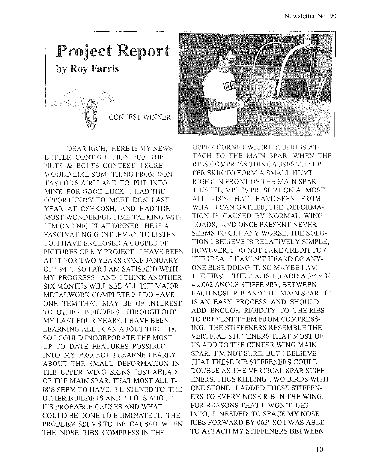

DEAR RICH, HERE IS MY NEWS-LETTER CONTRIBUTION FOR THE NUTS & BOLTS CONTEST. I SURE WOULD LIKE SOMETHING FROM DON TAYLOR'S AIRPLANE TO PUT INTO MINE FOR GOOD LUCK. I HAD THE OPPORTUNITY TO MEET DON LAST YEAR AT OSHKOSH, AND HAD THE MOST WONDERFUL TIME TALKING WITH HIM ONE NIGHT AT DlNNER. HE IS A FASCINATING GENTLEMAN TO LISTEN TO. I HAVE ENCLOSED A COUPLE OF PICTURES OF MY PROJECT. I HAVE BEEN AT IT FOR TWO YEARS COME JANUARY OF "94". SO FAR I AM SATISFIED WITH MY PROGRESS, AND I THINK ANOTHER SIX MONTHS WILL SEE ALL THE MAJOR METAL WORK COMPLETED. I DO HAVE ONE ITEM THAT MAY BE OF INTEREST TO OTHER BUILDERS. THROUGH OUT MY LAST FOUR YEARS, I HAVE BEEN LEARNING ALL I CAN ABOUT THE T-18, SO I COULD INCORPORATE THE MOST UP TO DATE FEATURES POSSIBLE INTO MY PROJECT I LEARNED EARLY ABOUT THE SMALL DEFORMATION IN THE UPPER WING SKINS JUST AHEAD OF THE MAIN SPAR, THAT MOST ALL T-I8'S SEEM TO HAVE. I LISTENED TO THE OTHER BUILDERS AND PILOTS ABOUT ITS PROBABLE CAUSES AND WHAT COULD BE DONE TO ELIMINATE IT. THE PROBLEM SEEMS TO BE CAUSED WHEN THE NOSE RIBS COMPRESS IN THE



UPPER CORNER WHERE THE RIBS AT-TACH TO THE MAIN SPAR. WHEN THE RIBS COMPRESS THIS CAUSES THE UP-PER SKIN TO FORM A SMALL HUMP RIGHT IN FRONT OF THE MAIN SPAR. THIS "HUMP" IS PRESENT ON ALMOST ALL T-I8'S THAT I HAVE SEEN. FROM WHAT I CAN GATHER, THE DEFORMA-TION IS CAUSED BY NORMAL WING LOADS, AND ONCE PRESENT NEVER SEEMS TO GET ANY WORSE. THE SOLU-TION I BELIEVE IS RELATIVELY SIMPLE, HOWEVER, I DO NOT TAKE CREDlT FOR THE IDEA. I HAVEN'T HEARD OF ANY-ONE ELSE DOING IT, SO MAYBE I AM THE FIRST. THE FIX, IS TO ADD A 3/4 x 3/ 4 x.062 ANGLE STIFFENER, BETWEEN EACH NOSE RIB AND THE MAIN SPAR. IT IS AN EASY PROCESS AND SHOULD ADD ENOUGH RIGIDITY TO THE RIBS TO PREVENT THEM FROM COMPRESS-ING. THE STIFFENERS RESEMBLE THE VERTICAL STIFFENERS THAT MOST OF US ADD TO THE CENTER WING MAIN SPAR. I'M NOT SURE, BUT I BELIEVE THAT THESE RIB STIFFENERS COULD DOUBLE AS THE VERTICAL SPAR STIFF-ENERS, THUS KILLING TWO BIRDS WITH ONE STONE. I ADDED THESE STIFFEN-ERS TO EVERY NOSE RIB IN THE WING. FOR REASONS THAT I WON'T GET INTO, I NEEDED TO SPACE MY NOSE RIBS FORWARD BY.062" SO I WAS ABLE TO ATTACH MY STIFFENERS BETWEEN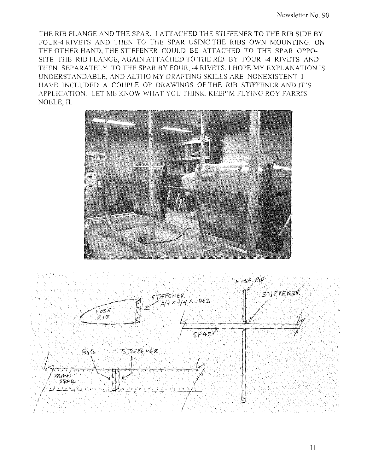THE RIB FLANGE AND THE SPAR. I ATTACHED THE STIFFENER TO THE RIB SIDE BY FOUR-4 RIVETS AND THEN TO THE SPAR USING THE RIBS OWN MOUNTING. ON THE OTHER HAND, THE STIFFENER COULD BE ATTACHED TO THE SPAR OPPO-SITE THE RIB FLANGE, AGAIN ATTACHED TO THE RIB BY FOUR -4 RIVETS AND THEN SEPARATELY TO THE SPAR BY FOUR, -4 RIVETS. I HOPE MY EXPLANATION IS UNDERSTANDABLE, AND ALTHO MY DRAFTING SKILLS ARE NONEXISTENT I HAVE INCLUDED A COUPLE OF DRAWINGS OF THE RIB STIFFENER AND IT'S APPLICATION. LET ME KNOW WHAT YOU THINK. KEEP'M FLYING ROY FARRIS NOBLE, IL





I I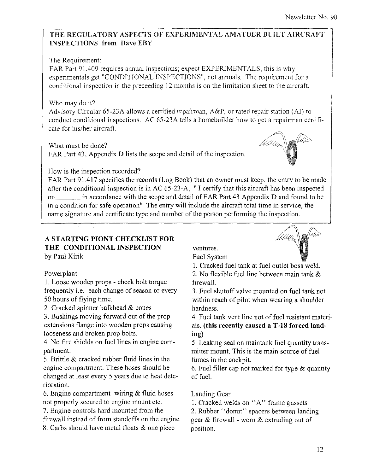#### THE REGULATORY ASPECTS OF EXPERIMENTAL AMATUER BUILT AIRCRAFT INSPECTIONS from Dave EBY

#### The Requirement:

FAR Part 91.409 requires annual inspections; expect EXPERIMENTALS, this is why experimentals get "CONDITIONAL INSPECTIONS", not annuals, The requirement for a conditional inspection in the preceeding 12 months is on the limitation sheet to the aircraft.

#### Who may do it?

Advisory Circular 65-23A allows a certified repairman,  $A\&P$ , or rated repair station (AI) to conduct conditional inspections. AC 65-23A tells a homebuilder how to get a repairman certificate for his/her aircraft.

What must be done? FAR Part 43, Appendix D lists the scope and detail of the inspection,



#### How is the inspection recorded?

FAR Part 91.417 specifies the records (Log Book) that an owner must keep, the entry to be made after the conditional inspection is in AC  $65-23-A$ , "I certify that this aircraft has been inspected on in accordance with the scope and detail of FAR Part 43 Appendix D and found to be in a condition for safe operation" The entry will include the aircraft total time in service, the name signature and certificate type and number of the person performing the inspection,

#### A STARTING PIONT CHECKLIST FOR THE CONDITIONAL INSPECTION by Paul Kirik

#### Powerplant

1. Loose wooden props - check bolt torque frequently i,e, each change of season or every 50 hours of flying time,

2, Cracked spinner bulkhead & cones

3, Bushings moving forward out of the prop extensions flange into wooden props causing looseness and broken prop bolts,

4, No fire shields on fuel lines in engine compartment.

5, Brittle & cracked rubber fluid lines in the engine compartment. These hoses should be changed at least every 5 years due to heat deterioration,

6, Engine compartment wiring & fluid hoses not properly secured to engine mount etc, 7, Engine controls hard mounted from the firewall instead of from standoffs on the engine,

8, Carbs should have metal floats & one piece

ventures, Fuel System

1. Cracked fuel tank at fuel outlet boss weld,

2. No flexible fuel line between main tank & firewalL

3. Fuel shutoff valve mounted on fuel tank not within reach of pilot when wearing a shoulder hardness.

4, Fuel tank vent line not of fuel resistant materials. **(this recently caused a T-18 forced land**ing)

5, Leaking seal on maintank fuel quantity transmitter mount, This is the main source of fuel fumes in the cockpit.

6, Fuel filler cap not marked for type & quantity of fuel.

#### Landing Gear

1. Cracked welds on "A" frame gussets 2, Rubber "donut" spacers between landing gear & firewall - worn & extruding out of position,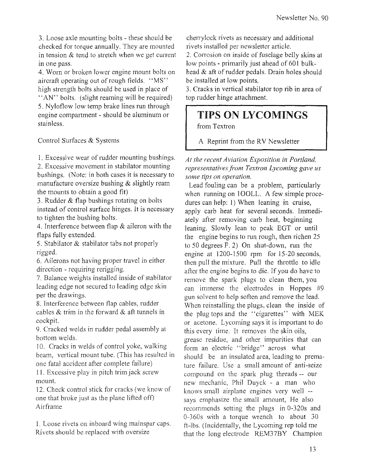3. Loose axle mounting bolts - these should be checked for torque annually. They are mounted in tension  $&$  tend to stretch when we get current in one pass.

4. Worn or broken lower engine mount bolts on aircraft operating out of rough fields. "MS" high strength bolts should be used in place of "AN" bolts. (slight reaming will be required) 5. Nyloflow low temp brake lines run through engine compartment - should be aluminum or stainless.

Control Surfaces & Systems

I. Excessive wear of rudder mounting bushings.

2. Excessive movement in stabilator mounting bushings. (Note: in both cases it is necessary to manufacture oversize bushing  $\&$  slightly ream the mounts to obtain a good fit)

3. Rudder & flap bushings rotating on bolts instead of control surface hinges. It is necessary to tighten the bushing bolts.

4. Interference between flap & aileron with the flaps fully extended.

5. Stabilator & stabilator tabs not properly rigged.

6. Ailerons not having proper travel in either direction - requiring rerigging.

7. Balance weights installed inside of stabilator leading edge not secured to leading edge skin per the drawings.

8. Interference between flap cables, rudder cables & trim in the forward & aft tunnels in cockpit.

9. Cracked welds in rudder pedal assembly at bottom welds.

10. Cracks in welds of control yoke, walking beam, vertical mount tube. (This has resulted in one fatal accident after complete failure)

II. Excessive play in pitch trim jack screw mount.

12. Check control stick for cracks (we know of one that broke just as the plane lifted off) Airframe

I. Loose rivets on inboard wing mainspar caps. Rivets should be replaced with oversize

cherrylock rivets as necessary and additional rivets installed per newsletter article.

2. Corrosion on inside of fuselage belly skins at low points - primarily just ahead of 601 bulkhead & aft of rudder pedals. Drain holes should be installed at low points.

3. Cracks in vertical stabilator top rib in area of top rudder hinge attachment.

## **TIPS ON LYCOMINGS**

from Textron

A Reprint from the RV Newsletter

*At the recent Aviation Exposition in Portland, representatives from Textron Lycoming gave us some tips on operation.* 

Lead fouling can be a problem, particularly when running on 1OOLL. A few simple procedures can help: I) When leaning in cruise, apply carb heat for several seconds. Immediately after removing carb heat, beginning leaning. Slowly lean to peak EGT or until the engine begins to run rough, then richen 25 to 50 degrees F. 2) On shut-down, run the engine at 1200-1500 rpm for 15-20 seconds, then pull the mixture. Pull the throttle to idle after the engine begins to die. If you do have to remove the spark plugs to clean them, you can immerse the electrodes in Hoppes #9 gun solvent to help soften and remove the lead. When reinstalling the plugs, clean the inside of the plug tops and the "cigarettes" with MEK or acetone. Lycoming says it is important to do this every time. It removes the skin oils, grease residue, and other impurities that can form an electric "bridge" across what should be an insulated area, leading to premature failure. Use a small amount of anti-seize compound on the spark plug threads -- our new mechanic, Phil Duyck - a man who knows small airplane engines very well - says emphasize the small amount, He also recommends setting the plugs in 0-320s and 0-3605 with a torque wrench to about 30 ft-lbs. (Incidentally, the Lycoming rep told me that the long electrode REM37BY Champion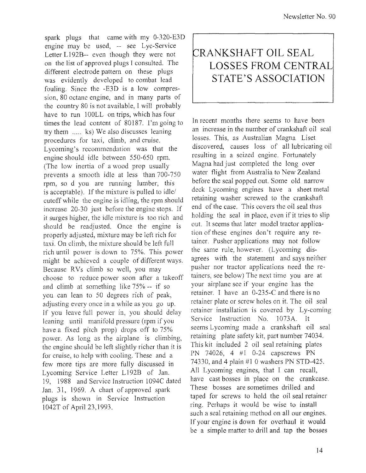spark plugs that came with my 0-320-E3D engine may be used, -- see Lye-Service Letter L192B-- even though they were not on the list of approved plugs I consulted. The different electrode pattern on these plugs was evidently developed to combat lead fouling. Since the -E3D is a low compression, 80 octane engine, and in many parts of the country 80 is not available, I will probably have to run 100LL on trips, which has four times the lead content of 80187. I'm going to try them ..... ks) We also discusses leaning procedures for taxi, climb, and cruise. Lycoming's recommendation was that the engine should idle between 550-650 rpm. (The low inertia of a wood prop usually prevents a smooth idle at less than 700-750 rpm, so d you are running lumber, this is acceptable). If the mixture is pulled to idle/ cutoff while the engine is idling, the rpm should increase 20-30 just hefore the engine stops. If it surges higher, the idle mixture is too rich and should be readjusted. Once the engine is properly adjusted, mixture may be left rich for taxi. On climb, the mixture should be left full rich until power is down to 75%. This power might be achieved a couple of different ways. Because RVs climb so well, you may choose to reduce power soon after a takeoff and climb at something like  $75% -$  if so you can lean to 50 degrees rich of peak, adjusting every once in a while as you go up. If you leave full power in, you should delay leaning until manifold pressure (rpm if you have a fixed pitch prop) drops off to 75% power. As long as the airplane is climbing, the engine should be left slightly richer than it is for cruise, to help with cooling. These and a few more tips are more fully discussed in Lycoming Service Letter L192B of Jan. 19, 1988 and Service Instruction 1094C dated Jan. 31, 1969. A chart of approved spark plugs is shown in Service Instruction 1042T of April 23,1993.

## **r-:RANKSHAFT OIL SEAL LOSSES FROM CENTRAL STATE'S ASSOCIATION**

In recent months there seems to have been an increase in the number of crankshaft oil seal losses. This, as Australian Magna Liset discovered, causes loss of all lubricating oil resulting in a seized engine. Fortunately Magna had just completed the long over water flight from Australia to New Zealand before the seal popped out. Some old narrow deck Lycoming engines have a sheet metal retaining washer screwed to the crankshaft end of the case, This covers the oil seal thus holding the seal in place, even if it tries to slip out. It seems that later model tractor application of these engines don't require any retainer. Pusher applications may not follow the same rule, however. (Lycoming disagrees with the statement and says neither pusher nor tractor applications need the retainers, see below) The next time you are at your airplane see if your engine has the retainer. I have an 0-235-C and there is no retainer plate or screw holes on it. The oil seal retainer installation is covered by Ly-coming Service Instruction No. 1073A. It seems Lycoming made a crankshaft oil seal retaining plate safety kit, part number 74034. This kit included 2 oil seal retaining plates PN 74026, 4 #1 0-24 capscrews PN 74330, and 4 plain #1 0 washers PN STD-425. All Lycoming engines, that I can recall, have cast bosses in place on the crankcase. These bosses are sometimes drilled and taped for screws to hold the oil seal retainer ring. Perhaps it would be wise to install such a seal retaining method on all our engines. If your engine is down for overhaul it would be a simple matter to drill and tap the bosses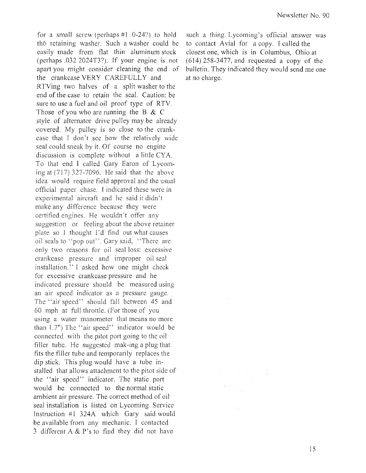for a small screw (perhaps  $#1$  0-24?) to hold th6 retaining washer. Such a washer could be easily made from flat thin aluminum stock (perhaps .032 2024T3?). If your engine is not apart you might consider cleaning the end of the crankcase VERY CAREFULLY and RTVing two halves of a split washer to the end of the case to retain the seal. Caution: be sure to use a fuel and oil proof type of RTY. Those of you who are running the B & C style of alternator drive pulley may be already covered. My pulley is so close to the crankcase that I don't see how the relatively wide seal could sneak by it. Of course no engine discussion is complete without a little CYA. To that end 1 called Gary Earon of Lycoming at (717) 327-7096. He said that the above idea would require field approval and the usual official paper chase. I indicated these were in experimental aircraft and he said it didn't make any difference because they were certified engines. He wouldn't offer any suggestion or feeling about the above retainer plate so  $\bf{l}$  thought  $\bf{l}'$  d find out what causes oil seals to "pop out". Gary said, "There are only two reasons for oil seal loss: excessive crankcase pressure and improper oil seal installation." J asked how one might check for excessive crankcase pressure and he indicated pressure should be measured using an air speed indicator as a pressure gauge. The "air speed" should fall between 45 and 60 mph at full throttle. (For those of you using a water manometer that means no more than 1.7") The "air speed" indicator would be connected with the pitot port going to the oil filler tube. He suggested mak-ing a plug that fits the filler tube and temporarily replaces the dip stick. This plug would have a tube installed that allows attachment to the pitot side of the "air speed" indicator. The static port would be connected to the normal static ambient air pressure. The correct method of oil seal installation is listed on Lycoming Service Instruction #1 *324A* which Gary said would be available from any mechanic. I contacted 3 different A & P's to find they did not have

such a thing. Lycoming's official answer was to contact Avial for a copy. I called the closest one, which is in Columbus, Ohio at (614) 258-3477, and requested a copy of the bulletin. They indicated they would send me one at no charge.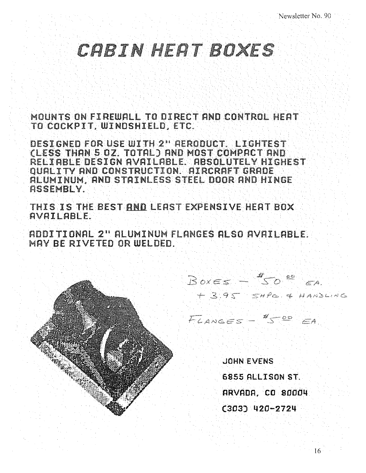## CRBIN HERT BOXES

MOUNTS ON FIREWALL TO DIRECT AND CONTROL HEAT TO COCKPIT. WINDSHIELD. ETC.

DESIGNED FOR USE WITH 2" AERODUCT. LIGHTES (LESS THAN 5 OZ. TOTAL) AND MOST COMPACT AND RELI ABLE DESIGN AVAILABLE. ABSOLUTELY HIGHEST QUALITY AND CONSTRUCTION. AIRCRAFT GRADE ALUMINUM. AND STAINLESS STEEL DOOR AND HINGE ASSEMBLY.

THIS IS THE BEST RND LERST EXPENSIVE HEAT BOX AVAILABLE.

ADDITIONAL 2" ALUMINUM FLRNGES RLSO RVRILRBLE. MAY BE RIVETED OR WELDED.

> $Bo\times = \leq -\frac{4}{5}O$   $e^{\frac{1}{2}}$   $e^{\frac{1}{2}}$ . + 395 SHPE & HANDWAG

FLANGES - 4500 EA

**JOHN EVENS 6855 ALLISON ST. RRVADA. CO S0004 (303) 420-2724**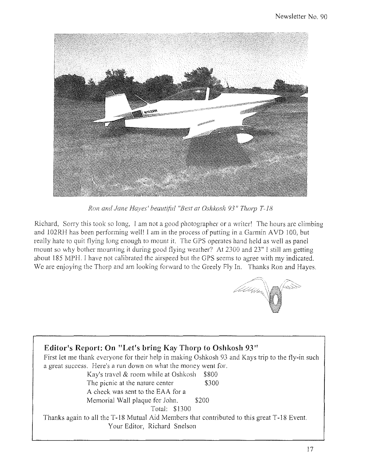

*Ron and Jane Hayes' beautiful "Best at Oshkosh 93" Thorp T-18* 

Richard, Sorry this took so long, I am not a good photographer or a writer' The hours are climbing and I02RH has been performing well' J am in the process of putting in a Garmin AVD 100, but really hate to quit flying long enough to mount it. The GPS operates hand held as well as panel mount so why bother mounting it during good flying weather? At 2300 and 23" I still am getting about 185 MPH. J have not calibrated the airspeed but the GPS seems to agree with my indicated. We are enjoying the Thorp and am looking forward to the Greely Fly In. Thanks Ron and Hayes.



#### **Editor's Report: On "Let's bring Kay Thorp to Oshkosh 93"**  First let me thank everyone for their help in making Oshkosh 93 and Kays trip to the fly-in such a great success. Here's a run down on what the money went for. Kay's travel  $&$  room while at Oshkosh  $$800$ The picnic at the nature center \$300 A check was sent to the EAA for a Memorial Wall plaque for John. \$200 Total: \$1300 Thanks again to all the T-18 Mutual Aid Members that contributed to this great T-18 Event. Your Editor, Richard Snelson